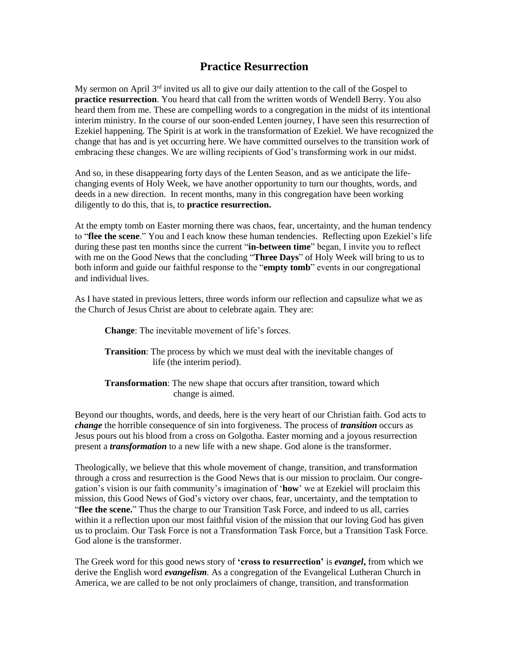## **Practice Resurrection**

My sermon on April 3<sup>rd</sup> invited us all to give our daily attention to the call of the Gospel to **practice resurrection**. You heard that call from the written words of Wendell Berry. You also heard them from me. These are compelling words to a congregation in the midst of its intentional interim ministry. In the course of our soon-ended Lenten journey, I have seen this resurrection of Ezekiel happening. The Spirit is at work in the transformation of Ezekiel. We have recognized the change that has and is yet occurring here. We have committed ourselves to the transition work of embracing these changes. We are willing recipients of God's transforming work in our midst.

And so, in these disappearing forty days of the Lenten Season, and as we anticipate the lifechanging events of Holy Week, we have another opportunity to turn our thoughts, words, and deeds in a new direction. In recent months, many in this congregation have been working diligently to do this, that is, to **practice resurrection.**

At the empty tomb on Easter morning there was chaos, fear, uncertainty, and the human tendency to "**flee the scene**." You and I each know these human tendencies. Reflecting upon Ezekiel's life during these past ten months since the current "**in-between time**" began, I invite you to reflect with me on the Good News that the concluding "**Three Days**" of Holy Week will bring to us to both inform and guide our faithful response to the "**empty tomb**" events in our congregational and individual lives.

As I have stated in previous letters, three words inform our reflection and capsulize what we as the Church of Jesus Christ are about to celebrate again. They are:

**Change**: The inevitable movement of life's forces.

**Transition**: The process by which we must deal with the inevitable changes of life (the interim period).

**Transformation**: The new shape that occurs after transition, toward which change is aimed.

Beyond our thoughts, words, and deeds, here is the very heart of our Christian faith. God acts to *change* the horrible consequence of sin into forgiveness. The process of *transition* occurs as Jesus pours out his blood from a cross on Golgotha. Easter morning and a joyous resurrection present a *transformation* to a new life with a new shape. God alone is the transformer.

Theologically, we believe that this whole movement of change, transition, and transformation through a cross and resurrection is the Good News that is our mission to proclaim. Our congregation's vision is our faith community's imagination of '**how**' we at Ezekiel will proclaim this mission, this Good News of God's victory over chaos, fear, uncertainty, and the temptation to "**flee the scene.**" Thus the charge to our Transition Task Force, and indeed to us all, carries within it a reflection upon our most faithful vision of the mission that our loving God has given us to proclaim. Our Task Force is not a Transformation Task Force, but a Transition Task Force. God alone is the transformer.

The Greek word for this good news story of **'cross to resurrection'** is *evangel***,** from which we derive the English word *evangelism.* As a congregation of the Evangelical Lutheran Church in America, we are called to be not only proclaimers of change, transition, and transformation